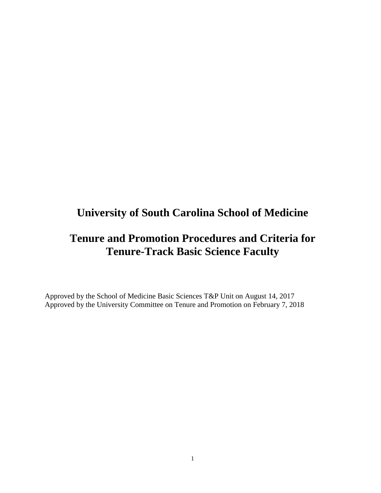# **University of South Carolina School of Medicine**

# **Tenure and Promotion Procedures and Criteria for Tenure-Track Basic Science Faculty**

Approved by the School of Medicine Basic Sciences T&P Unit on August 14, 2017 Approved by the University Committee on Tenure and Promotion on February 7, 2018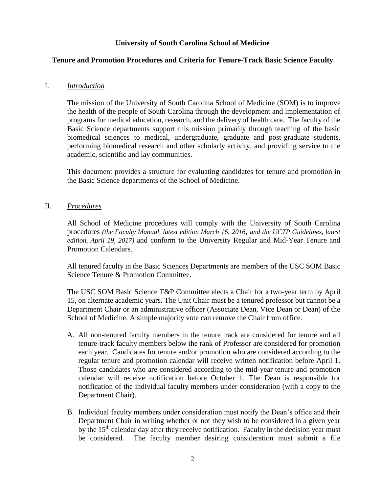# **University of South Carolina School of Medicine**

# **Tenure and Promotion Procedures and Criteria for Tenure-Track Basic Science Faculty**

# I. *Introduction*

The mission of the University of South Carolina School of Medicine (SOM) is to improve the health of the people of South Carolina through the development and implementation of programs for medical education, research, and the delivery of health care. The faculty of the Basic Science departments support this mission primarily through teaching of the basic biomedical sciences to medical, undergraduate, graduate and post-graduate students, performing biomedical research and other scholarly activity, and providing service to the academic, scientific and lay communities.

This document provides a structure for evaluating candidates for tenure and promotion in the Basic Science departments of the School of Medicine.

## II. *Procedures*

All School of Medicine procedures will comply with the University of South Carolina procedures *(the Faculty Manual, latest edition March 16, 2016; and the UCTP Guidelines, latest edition, April 19, 2017)* and conform to the University Regular and Mid-Year Tenure and Promotion Calendars.

All tenured faculty in the Basic Sciences Departments are members of the USC SOM Basic Science Tenure & Promotion Committee.

The USC SOM Basic Science T&P Committee elects a Chair for a two-year term by April 15, on alternate academic years. The Unit Chair must be a tenured professor but cannot be a Department Chair or an administrative officer (Associate Dean, Vice Dean or Dean) of the School of Medicine. A simple majority vote can remove the Chair from office.

- A. All non-tenured faculty members in the tenure track are considered for tenure and all tenure-track faculty members below the rank of Professor are considered for promotion each year. Candidates for tenure and/or promotion who are considered according to the regular tenure and promotion calendar will receive written notification before April 1. Those candidates who are considered according to the mid-year tenure and promotion calendar will receive notification before October 1. The Dean is responsible for notification of the individual faculty members under consideration (with a copy to the Department Chair).
- B. Individual faculty members under consideration must notify the Dean's office and their Department Chair in writing whether or not they wish to be considered in a given year by the  $15<sup>th</sup>$  calendar day after they receive notification. Faculty in the decision year must be considered. The faculty member desiring consideration must submit a file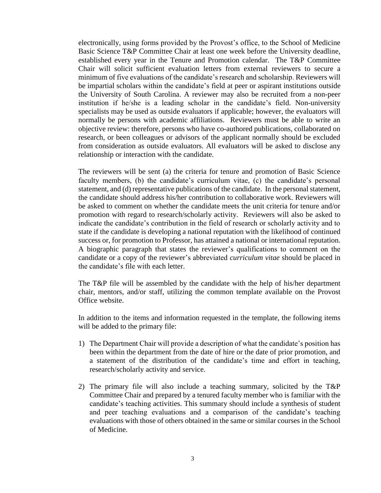electronically, using forms provided by the Provost's office, to the School of Medicine Basic Science T&P Committee Chair at least one week before the University deadline, established every year in the Tenure and Promotion calendar. The T&P Committee Chair will solicit sufficient evaluation letters from external reviewers to secure a minimum of five evaluations of the candidate's research and scholarship. Reviewers will be impartial scholars within the candidate's field at peer or aspirant institutions outside the University of South Carolina. A reviewer may also be recruited from a non-peer institution if he/she is a leading scholar in the candidate's field. Non-university specialists may be used as outside evaluators if applicable; however, the evaluators will normally be persons with academic affiliations. Reviewers must be able to write an objective review: therefore, persons who have co-authored publications, collaborated on research, or been colleagues or advisors of the applicant normally should be excluded from consideration as outside evaluators. All evaluators will be asked to disclose any relationship or interaction with the candidate.

The reviewers will be sent (a) the criteria for tenure and promotion of Basic Science faculty members, (b) the candidate's curriculum vitae, (c) the candidate's personal statement, and (d) representative publications of the candidate. In the personal statement, the candidate should address his/her contribution to collaborative work. Reviewers will be asked to comment on whether the candidate meets the unit criteria for tenure and/or promotion with regard to research/scholarly activity. Reviewers will also be asked to indicate the candidate's contribution in the field of research or scholarly activity and to state if the candidate is developing a national reputation with the likelihood of continued success or, for promotion to Professor, has attained a national or international reputation. A biographic paragraph that states the reviewer's qualifications to comment on the candidate or a copy of the reviewer's abbreviated *curriculum vitae* should be placed in the candidate's file with each letter.

The T&P file will be assembled by the candidate with the help of his/her department chair, mentors, and/or staff, utilizing the common template available on the Provost Office website.

In addition to the items and information requested in the template, the following items will be added to the primary file:

- 1) The Department Chair will provide a description of what the candidate's position has been within the department from the date of hire or the date of prior promotion, and a statement of the distribution of the candidate's time and effort in teaching, research/scholarly activity and service.
- 2) The primary file will also include a teaching summary, solicited by the T&P Committee Chair and prepared by a tenured faculty member who is familiar with the candidate's teaching activities. This summary should include a synthesis of student and peer teaching evaluations and a comparison of the candidate's teaching evaluations with those of others obtained in the same or similar courses in the School of Medicine.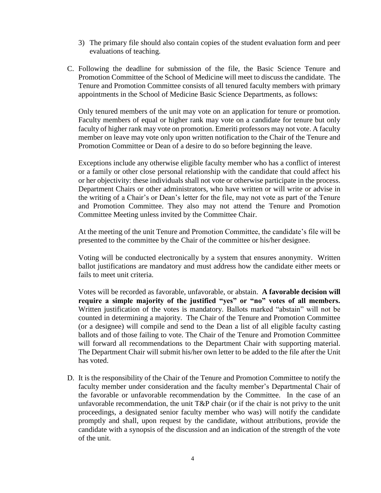- 3) The primary file should also contain copies of the student evaluation form and peer evaluations of teaching.
- C. Following the deadline for submission of the file, the Basic Science Tenure and Promotion Committee of the School of Medicine will meet to discuss the candidate. The Tenure and Promotion Committee consists of all tenured faculty members with primary appointments in the School of Medicine Basic Science Departments, as follows:

Only tenured members of the unit may vote on an application for tenure or promotion. Faculty members of equal or higher rank may vote on a candidate for tenure but only faculty of higher rank may vote on promotion. Emeriti professors may not vote. A faculty member on leave may vote only upon written notification to the Chair of the Tenure and Promotion Committee or Dean of a desire to do so before beginning the leave.

Exceptions include any otherwise eligible faculty member who has a conflict of interest or a family or other close personal relationship with the candidate that could affect his or her objectivity: these individuals shall not vote or otherwise participate in the process. Department Chairs or other administrators, who have written or will write or advise in the writing of a Chair's or Dean's letter for the file, may not vote as part of the Tenure and Promotion Committee. They also may not attend the Tenure and Promotion Committee Meeting unless invited by the Committee Chair.

At the meeting of the unit Tenure and Promotion Committee, the candidate's file will be presented to the committee by the Chair of the committee or his/her designee.

Voting will be conducted electronically by a system that ensures anonymity. Written ballot justifications are mandatory and must address how the candidate either meets or fails to meet unit criteria.

Votes will be recorded as favorable, unfavorable, or abstain. **A favorable decision will require a simple majority of the justified "yes" or "no" votes of all members.**  Written justification of the votes is mandatory. Ballots marked "abstain" will not be counted in determining a majority. The Chair of the Tenure and Promotion Committee (or a designee) will compile and send to the Dean a list of all eligible faculty casting ballots and of those failing to vote. The Chair of the Tenure and Promotion Committee will forward all recommendations to the Department Chair with supporting material. The Department Chair will submit his/her own letter to be added to the file after the Unit has voted.

D. It is the responsibility of the Chair of the Tenure and Promotion Committee to notify the faculty member under consideration and the faculty member's Departmental Chair of the favorable or unfavorable recommendation by the Committee. In the case of an unfavorable recommendation, the unit T&P chair (or if the chair is not privy to the unit proceedings, a designated senior faculty member who was) will notify the candidate promptly and shall, upon request by the candidate, without attributions, provide the candidate with a synopsis of the discussion and an indication of the strength of the vote of the unit.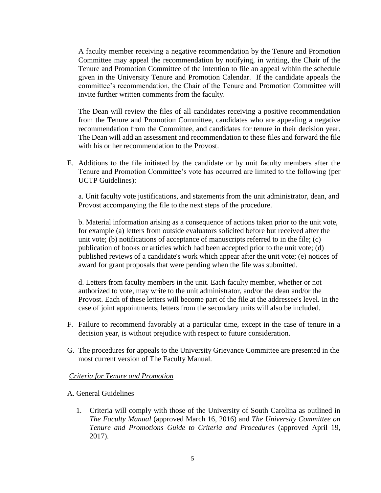A faculty member receiving a negative recommendation by the Tenure and Promotion Committee may appeal the recommendation by notifying, in writing, the Chair of the Tenure and Promotion Committee of the intention to file an appeal within the schedule given in the University Tenure and Promotion Calendar. If the candidate appeals the committee's recommendation, the Chair of the Tenure and Promotion Committee will invite further written comments from the faculty.

The Dean will review the files of all candidates receiving a positive recommendation from the Tenure and Promotion Committee, candidates who are appealing a negative recommendation from the Committee, and candidates for tenure in their decision year. The Dean will add an assessment and recommendation to these files and forward the file with his or her recommendation to the Provost.

E. Additions to the file initiated by the candidate or by unit faculty members after the Tenure and Promotion Committee's vote has occurred are limited to the following (per UCTP Guidelines):

a. Unit faculty vote justifications, and statements from the unit administrator, dean, and Provost accompanying the file to the next steps of the procedure.

b. Material information arising as a consequence of actions taken prior to the unit vote, for example (a) letters from outside evaluators solicited before but received after the unit vote; (b) notifications of acceptance of manuscripts referred to in the file; (c) publication of books or articles which had been accepted prior to the unit vote; (d) published reviews of a candidate's work which appear after the unit vote; (e) notices of award for grant proposals that were pending when the file was submitted.

d. Letters from faculty members in the unit. Each faculty member, whether or not authorized to vote, may write to the unit administrator, and/or the dean and/or the Provost. Each of these letters will become part of the file at the addressee's level. In the case of joint appointments, letters from the secondary units will also be included.

- F. Failure to recommend favorably at a particular time, except in the case of tenure in a decision year, is without prejudice with respect to future consideration.
- G. The procedures for appeals to the University Grievance Committee are presented in the most current version of The Faculty Manual.

## *Criteria for Tenure and Promotion*

#### A. General Guidelines

1. Criteria will comply with those of the University of South Carolina as outlined in *The Faculty Manual* (approved March 16, 2016) and *The University Committee on Tenure and Promotions Guide to Criteria and Procedures* (approved April 19, 2017).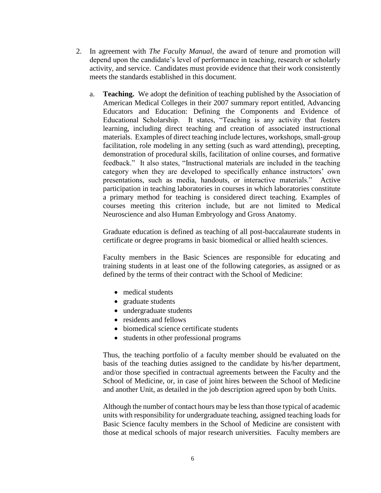- 2. In agreement with *The Faculty Manual*, the award of tenure and promotion will depend upon the candidate's level of performance in teaching, research or scholarly activity, and service. Candidates must provide evidence that their work consistently meets the standards established in this document.
	- a. **Teaching.** We adopt the definition of teaching published by the Association of American Medical Colleges in their 2007 summary report entitled, Advancing Educators and Education: Defining the Components and Evidence of Educational Scholarship. It states, "Teaching is any activity that fosters learning, including direct teaching and creation of associated instructional materials. Examples of direct teaching include lectures, workshops, small-group facilitation, role modeling in any setting (such as ward attending), precepting, demonstration of procedural skills, facilitation of online courses, and formative feedback." It also states, "Instructional materials are included in the teaching category when they are developed to specifically enhance instructors' own presentations, such as media, handouts, or interactive materials." Active participation in teaching laboratories in courses in which laboratories constitute a primary method for teaching is considered direct teaching. Examples of courses meeting this criterion include, but are not limited to Medical Neuroscience and also Human Embryology and Gross Anatomy.

Graduate education is defined as teaching of all post-baccalaureate students in certificate or degree programs in basic biomedical or allied health sciences.

Faculty members in the Basic Sciences are responsible for educating and training students in at least one of the following categories, as assigned or as defined by the terms of their contract with the School of Medicine:

- medical students
- graduate students
- undergraduate students
- residents and fellows
- biomedical science certificate students
- students in other professional programs

Thus, the teaching portfolio of a faculty member should be evaluated on the basis of the teaching duties assigned to the candidate by his/her department, and/or those specified in contractual agreements between the Faculty and the School of Medicine, or, in case of joint hires between the School of Medicine and another Unit, as detailed in the job description agreed upon by both Units.

Although the number of contact hours may be less than those typical of academic units with responsibility for undergraduate teaching, assigned teaching loads for Basic Science faculty members in the School of Medicine are consistent with those at medical schools of major research universities. Faculty members are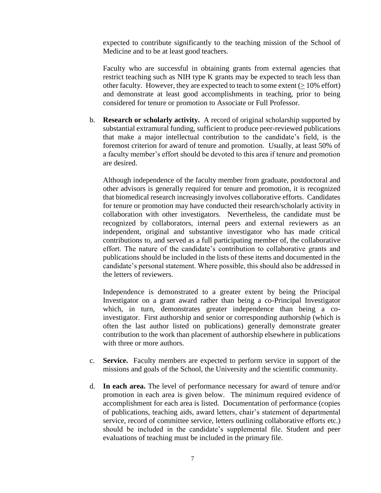expected to contribute significantly to the teaching mission of the School of Medicine and to be at least good teachers.

 Faculty who are successful in obtaining grants from external agencies that restrict teaching such as NIH type K grants may be expected to teach less than other faculty. However, they are expected to teach to some extent  $(>10\%$  effort) and demonstrate at least good accomplishments in teaching, prior to being considered for tenure or promotion to Associate or Full Professor.

b. **Research or scholarly activity.** A record of original scholarship supported by substantial extramural funding, sufficient to produce peer-reviewed publications that make a major intellectual contribution to the candidate's field, is the foremost criterion for award of tenure and promotion. Usually, at least 50% of a faculty member's effort should be devoted to this area if tenure and promotion are desired.

Although independence of the faculty member from graduate, postdoctoral and other advisors is generally required for tenure and promotion, it is recognized that biomedical research increasingly involves collaborative efforts. Candidates for tenure or promotion may have conducted their research/scholarly activity in collaboration with other investigators. Nevertheless, the candidate must be recognized by collaborators, internal peers and external reviewers as an independent, original and substantive investigator who has made critical contributions to, and served as a full participating member of, the collaborative effort. The nature of the candidate's contribution to collaborative grants and publications should be included in the lists of these items and documented in the candidate's personal statement. Where possible, this should also be addressed in the letters of reviewers.

Independence is demonstrated to a greater extent by being the Principal Investigator on a grant award rather than being a co-Principal Investigator which, in turn, demonstrates greater independence than being a coinvestigator. First authorship and senior or corresponding authorship (which is often the last author listed on publications) generally demonstrate greater contribution to the work than placement of authorship elsewhere in publications with three or more authors.

- c. **Service.** Faculty members are expected to perform service in support of the missions and goals of the School, the University and the scientific community.
- d. **In each area.** The level of performance necessary for award of tenure and/or promotion in each area is given below. The minimum required evidence of accomplishment for each area is listed. Documentation of performance (copies of publications, teaching aids, award letters, chair's statement of departmental service, record of committee service, letters outlining collaborative efforts etc.) should be included in the candidate's supplemental file. Student and peer evaluations of teaching must be included in the primary file.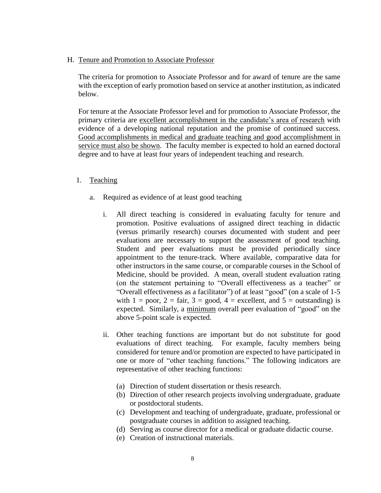## H. Tenure and Promotion to Associate Professor

The criteria for promotion to Associate Professor and for award of tenure are the same with the exception of early promotion based on service at another institution, as indicated below.

For tenure at the Associate Professor level and for promotion to Associate Professor, the primary criteria are excellent accomplishment in the candidate's area of research with evidence of a developing national reputation and the promise of continued success. Good accomplishments in medical and graduate teaching and good accomplishment in service must also be shown. The faculty member is expected to hold an earned doctoral degree and to have at least four years of independent teaching and research.

## 1. Teaching

- a. Required as evidence of at least good teaching
	- i. All direct teaching is considered in evaluating faculty for tenure and promotion. Positive evaluations of assigned direct teaching in didactic (versus primarily research) courses documented with student and peer evaluations are necessary to support the assessment of good teaching. Student and peer evaluations must be provided periodically since appointment to the tenure-track. Where available, comparative data for other instructors in the same course, or comparable courses in the School of Medicine, should be provided. A mean, overall student evaluation rating (on the statement pertaining to "Overall effectiveness as a teacher" or "Overall effectiveness as a facilitator") of at least "good" (on a scale of 1-5 with  $1 = \text{poor}, 2 = \text{fair}, 3 = \text{good}, 4 = \text{excellent}, \text{and } 5 = \text{outstanding})$  is expected. Similarly, a minimum overall peer evaluation of "good" on the above 5-point scale is expected.
	- ii. Other teaching functions are important but do not substitute for good evaluations of direct teaching. For example, faculty members being considered for tenure and/or promotion are expected to have participated in one or more of "other teaching functions." The following indicators are representative of other teaching functions:
		- (a) Direction of student dissertation or thesis research.
		- (b) Direction of other research projects involving undergraduate, graduate or postdoctoral students.
		- (c) Development and teaching of undergraduate, graduate, professional or postgraduate courses in addition to assigned teaching.
		- (d) Serving as course director for a medical or graduate didactic course.
		- (e) Creation of instructional materials.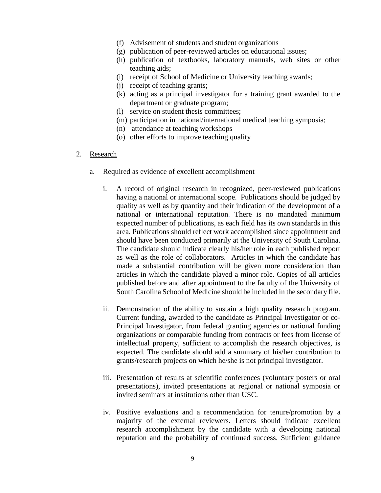- (f) Advisement of students and student organizations
- (g) publication of peer-reviewed articles on educational issues;
- (h) publication of textbooks, laboratory manuals, web sites or other teaching aids;
- (i) receipt of School of Medicine or University teaching awards;
- (j) receipt of teaching grants;
- (k) acting as a principal investigator for a training grant awarded to the department or graduate program;
- (l) service on student thesis committees;
- (m) participation in national/international medical teaching symposia;
- (n) attendance at teaching workshops
- (o) other efforts to improve teaching quality

#### 2. Research

- a. Required as evidence of excellent accomplishment
	- i. A record of original research in recognized, peer-reviewed publications having a national or international scope. Publications should be judged by quality as well as by quantity and their indication of the development of a national or international reputation. There is no mandated minimum expected number of publications, as each field has its own standards in this area. Publications should reflect work accomplished since appointment and should have been conducted primarily at the University of South Carolina. The candidate should indicate clearly his/her role in each published report as well as the role of collaborators. Articles in which the candidate has made a substantial contribution will be given more consideration than articles in which the candidate played a minor role. Copies of all articles published before and after appointment to the faculty of the University of South Carolina School of Medicine should be included in the secondary file.
	- ii. Demonstration of the ability to sustain a high quality research program. Current funding, awarded to the candidate as Principal Investigator or co-Principal Investigator, from federal granting agencies or national funding organizations or comparable funding from contracts or fees from license of intellectual property, sufficient to accomplish the research objectives, is expected. The candidate should add a summary of his/her contribution to grants/research projects on which he/she is not principal investigator.
	- iii. Presentation of results at scientific conferences (voluntary posters or oral presentations), invited presentations at regional or national symposia or invited seminars at institutions other than USC.
	- iv. Positive evaluations and a recommendation for tenure/promotion by a majority of the external reviewers. Letters should indicate excellent research accomplishment by the candidate with a developing national reputation and the probability of continued success. Sufficient guidance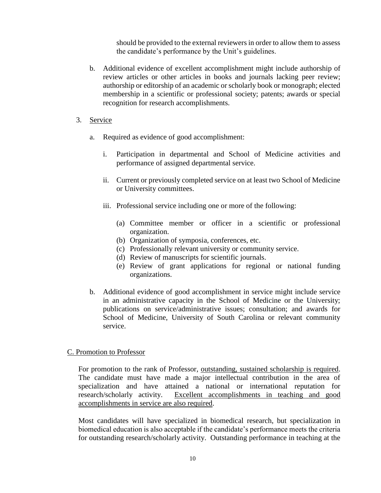should be provided to the external reviewers in order to allow them to assess the candidate's performance by the Unit's guidelines.

- b. Additional evidence of excellent accomplishment might include authorship of review articles or other articles in books and journals lacking peer review; authorship or editorship of an academic or scholarly book or monograph; elected membership in a scientific or professional society; patents; awards or special recognition for research accomplishments.
- 3. Service
	- a. Required as evidence of good accomplishment:
		- i. Participation in departmental and School of Medicine activities and performance of assigned departmental service.
		- ii. Current or previously completed service on at least two School of Medicine or University committees.
		- iii. Professional service including one or more of the following:
			- (a) Committee member or officer in a scientific or professional organization.
			- (b) Organization of symposia, conferences, etc.
			- (c) Professionally relevant university or community service.
			- (d) Review of manuscripts for scientific journals.
			- (e) Review of grant applications for regional or national funding organizations.
	- b. Additional evidence of good accomplishment in service might include service in an administrative capacity in the School of Medicine or the University; publications on service/administrative issues; consultation; and awards for School of Medicine, University of South Carolina or relevant community service.

# C. Promotion to Professor

For promotion to the rank of Professor, outstanding, sustained scholarship is required. The candidate must have made a major intellectual contribution in the area of specialization and have attained a national or international reputation for research/scholarly activity. Excellent accomplishments in teaching and good accomplishments in service are also required.

Most candidates will have specialized in biomedical research, but specialization in biomedical education is also acceptable if the candidate's performance meets the criteria for outstanding research/scholarly activity. Outstanding performance in teaching at the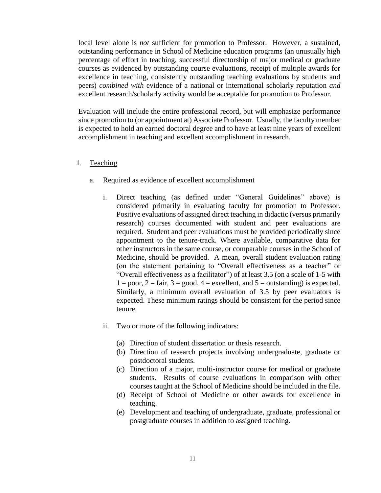local level alone is *not* sufficient for promotion to Professor. However, a sustained, outstanding performance in School of Medicine education programs (an unusually high percentage of effort in teaching, successful directorship of major medical or graduate courses as evidenced by outstanding course evaluations, receipt of multiple awards for excellence in teaching, consistently outstanding teaching evaluations by students and peers) *combined with* evidence of a national or international scholarly reputation *and* excellent research/scholarly activity would be acceptable for promotion to Professor.

Evaluation will include the entire professional record, but will emphasize performance since promotion to (or appointment at) Associate Professor. Usually, the faculty member is expected to hold an earned doctoral degree and to have at least nine years of excellent accomplishment in teaching and excellent accomplishment in research.

# 1. Teaching

- a. Required as evidence of excellent accomplishment
	- i. Direct teaching (as defined under "General Guidelines" above) is considered primarily in evaluating faculty for promotion to Professor. Positive evaluations of assigned direct teaching in didactic (versus primarily research) courses documented with student and peer evaluations are required. Student and peer evaluations must be provided periodically since appointment to the tenure-track. Where available, comparative data for other instructors in the same course, or comparable courses in the School of Medicine, should be provided. A mean, overall student evaluation rating (on the statement pertaining to "Overall effectiveness as a teacher" or "Overall effectiveness as a facilitator") of at least 3.5 (on a scale of 1-5 with  $1 = poor, 2 = fair, 3 = good, 4 = excellent, and 5 = outstanding)$  is expected. Similarly, a minimum overall evaluation of 3.5 by peer evaluators is expected. These minimum ratings should be consistent for the period since tenure.
	- ii. Two or more of the following indicators:
		- (a) Direction of student dissertation or thesis research.
		- (b) Direction of research projects involving undergraduate, graduate or postdoctoral students.
		- (c) Direction of a major, multi-instructor course for medical or graduate students. Results of course evaluations in comparison with other courses taught at the School of Medicine should be included in the file.
		- (d) Receipt of School of Medicine or other awards for excellence in teaching.
		- (e) Development and teaching of undergraduate, graduate, professional or postgraduate courses in addition to assigned teaching.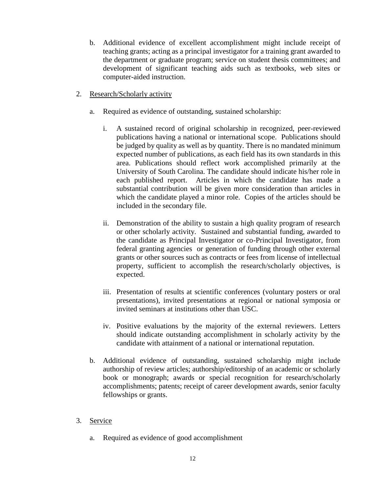- b. Additional evidence of excellent accomplishment might include receipt of teaching grants; acting as a principal investigator for a training grant awarded to the department or graduate program; service on student thesis committees; and development of significant teaching aids such as textbooks, web sites or computer-aided instruction.
- 2. Research/Scholarly activity
	- a. Required as evidence of outstanding, sustained scholarship:
		- i. A sustained record of original scholarship in recognized, peer-reviewed publications having a national or international scope. Publications should be judged by quality as well as by quantity. There is no mandated minimum expected number of publications, as each field has its own standards in this area. Publications should reflect work accomplished primarily at the University of South Carolina. The candidate should indicate his/her role in each published report. Articles in which the candidate has made a substantial contribution will be given more consideration than articles in which the candidate played a minor role. Copies of the articles should be included in the secondary file.
		- ii. Demonstration of the ability to sustain a high quality program of research or other scholarly activity. Sustained and substantial funding, awarded to the candidate as Principal Investigator or co-Principal Investigator, from federal granting agencies or generation of funding through other external grants or other sources such as contracts or fees from license of intellectual property, sufficient to accomplish the research/scholarly objectives, is expected.
		- iii. Presentation of results at scientific conferences (voluntary posters or oral presentations), invited presentations at regional or national symposia or invited seminars at institutions other than USC.
		- iv. Positive evaluations by the majority of the external reviewers. Letters should indicate outstanding accomplishment in scholarly activity by the candidate with attainment of a national or international reputation.
	- b. Additional evidence of outstanding, sustained scholarship might include authorship of review articles; authorship/editorship of an academic or scholarly book or monograph; awards or special recognition for research/scholarly accomplishments; patents; receipt of career development awards, senior faculty fellowships or grants.
- 3. Service
	- a. Required as evidence of good accomplishment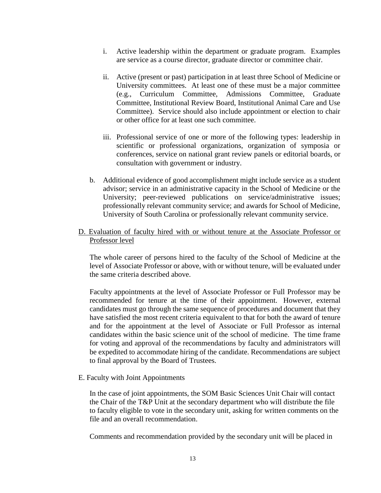- i. Active leadership within the department or graduate program. Examples are service as a course director, graduate director or committee chair.
- ii. Active (present or past) participation in at least three School of Medicine or University committees. At least one of these must be a major committee (e.g., Curriculum Committee, Admissions Committee, Graduate Committee, Institutional Review Board, Institutional Animal Care and Use Committee). Service should also include appointment or election to chair or other office for at least one such committee.
- iii. Professional service of one or more of the following types: leadership in scientific or professional organizations, organization of symposia or conferences, service on national grant review panels or editorial boards, or consultation with government or industry.
- b. Additional evidence of good accomplishment might include service as a student advisor; service in an administrative capacity in the School of Medicine or the University; peer-reviewed publications on service/administrative issues; professionally relevant community service; and awards for School of Medicine, University of South Carolina or professionally relevant community service.
- D. Evaluation of faculty hired with or without tenure at the Associate Professor or Professor level

 The whole career of persons hired to the faculty of the School of Medicine at the level of Associate Professor or above, with or without tenure, will be evaluated under the same criteria described above.

Faculty appointments at the level of Associate Professor or Full Professor may be recommended for tenure at the time of their appointment. However, external candidates must go through the same sequence of procedures and document that they have satisfied the most recent criteria equivalent to that for both the award of tenure and for the appointment at the level of Associate or Full Professor as internal candidates within the basic science unit of the school of medicine. The time frame for voting and approval of the recommendations by faculty and administrators will be expedited to accommodate hiring of the candidate. Recommendations are subject to final approval by the Board of Trustees.

E. Faculty with Joint Appointments

In the case of joint appointments, the SOM Basic Sciences Unit Chair will contact the Chair of the T&P Unit at the secondary department who will distribute the file to faculty eligible to vote in the secondary unit, asking for written comments on the file and an overall recommendation.

Comments and recommendation provided by the secondary unit will be placed in